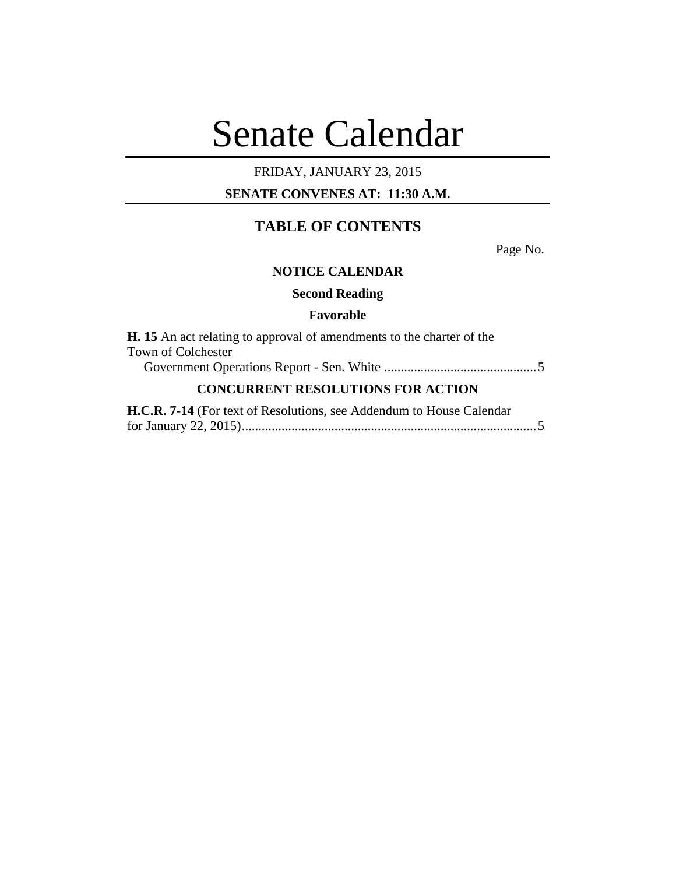# Senate Calendar

# FRIDAY, JANUARY 23, 2015

## **SENATE CONVENES AT: 11:30 A.M.**

# **TABLE OF CONTENTS**

Page No.

#### **NOTICE CALENDAR**

**Second Reading**

### **Favorable**

| <b>H.</b> 15 An act relating to approval of amendments to the charter of the<br>Town of Colchester |  |                                                                      |  |
|----------------------------------------------------------------------------------------------------|--|----------------------------------------------------------------------|--|
|                                                                                                    |  | <b>CONCURRENT RESOLUTIONS FOR ACTION</b>                             |  |
|                                                                                                    |  | H.C.R. 7-14 (For text of Resolutions, see Addendum to House Calendar |  |
|                                                                                                    |  |                                                                      |  |